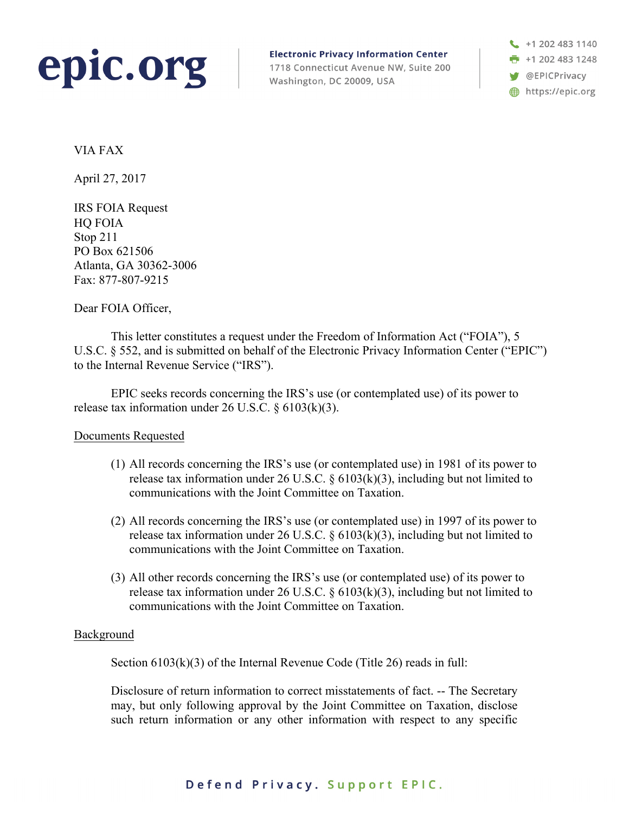

**Electronic Privacy Information Center** 1718 Connecticut Avenue NW, Suite 200 Washington, DC 20009, USA

 $\begin{array}{c} \begin{array}{c} \end{array}$  +1 202 483 1140 **F** +1 202 483 1248 **W** @EPICPrivacy https://epic.org

VIA FAX

April 27, 2017

IRS FOIA Request HQ FOIA Stop 211 PO Box 621506 Atlanta, GA 30362-3006 Fax: 877-807-9215

Dear FOIA Officer,

This letter constitutes a request under the Freedom of Information Act ("FOIA"), 5 U.S.C. § 552, and is submitted on behalf of the Electronic Privacy Information Center ("EPIC") to the Internal Revenue Service ("IRS").

EPIC seeks records concerning the IRS's use (or contemplated use) of its power to release tax information under 26 U.S.C. § 6103(k)(3).

## Documents Requested

- (1) All records concerning the IRS's use (or contemplated use) in 1981 of its power to release tax information under 26 U.S.C.  $\S$  6103(k)(3), including but not limited to communications with the Joint Committee on Taxation.
- (2) All records concerning the IRS's use (or contemplated use) in 1997 of its power to release tax information under 26 U.S.C.  $\S$  6103(k)(3), including but not limited to communications with the Joint Committee on Taxation.
- (3) All other records concerning the IRS's use (or contemplated use) of its power to release tax information under 26 U.S.C.  $\S$  6103(k)(3), including but not limited to communications with the Joint Committee on Taxation.

## Background

Section 6103(k)(3) of the Internal Revenue Code (Title 26) reads in full:

Disclosure of return information to correct misstatements of fact. -- The Secretary may, but only following approval by the Joint Committee on Taxation, disclose such return information or any other information with respect to any specific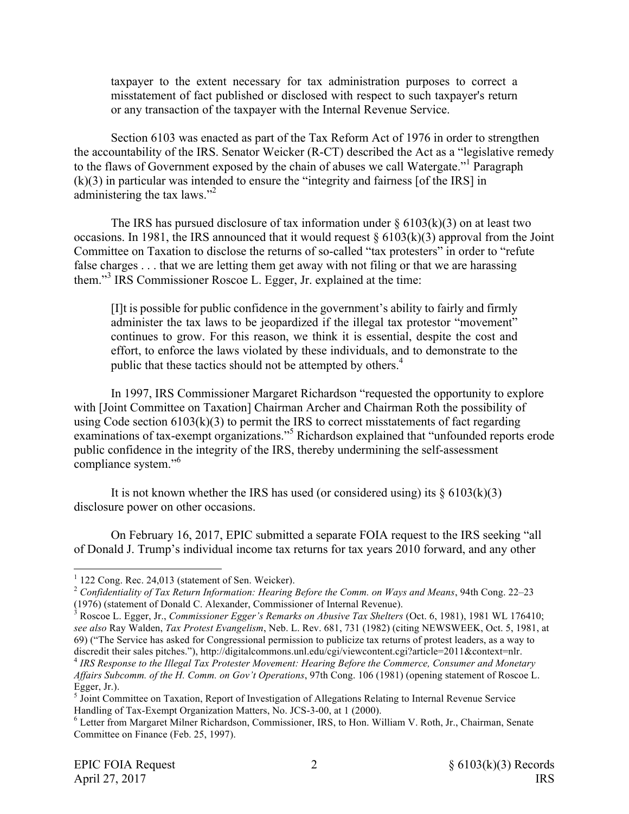taxpayer to the extent necessary for tax administration purposes to correct a misstatement of fact published or disclosed with respect to such taxpayer's return or any transaction of the taxpayer with the Internal Revenue Service.

Section 6103 was enacted as part of the Tax Reform Act of 1976 in order to strengthen the accountability of the IRS. Senator Weicker (R-CT) described the Act as a "legislative remedy to the flaws of Government exposed by the chain of abuses we call Watergate."1 Paragraph (k)(3) in particular was intended to ensure the "integrity and fairness [of the IRS] in administering the tax laws."<sup>2</sup>

The IRS has pursued disclosure of tax information under  $\S 6103(k)(3)$  on at least two occasions. In 1981, the IRS announced that it would request  $\S 6103(k)(3)$  approval from the Joint Committee on Taxation to disclose the returns of so-called "tax protesters" in order to "refute false charges . . . that we are letting them get away with not filing or that we are harassing them."<sup>3</sup> IRS Commissioner Roscoe L. Egger, Jr. explained at the time:

[I]t is possible for public confidence in the government's ability to fairly and firmly administer the tax laws to be jeopardized if the illegal tax protestor "movement" continues to grow. For this reason, we think it is essential, despite the cost and effort, to enforce the laws violated by these individuals, and to demonstrate to the public that these tactics should not be attempted by others.<sup>4</sup>

In 1997, IRS Commissioner Margaret Richardson "requested the opportunity to explore with [Joint Committee on Taxation] Chairman Archer and Chairman Roth the possibility of using Code section  $6103(k)(3)$  to permit the IRS to correct misstatements of fact regarding examinations of tax-exempt organizations."<sup>5</sup> Richardson explained that "unfounded reports erode public confidence in the integrity of the IRS, thereby undermining the self-assessment compliance system."<sup>6</sup>

It is not known whether the IRS has used (or considered using) its  $\S 6103(k)(3)$ disclosure power on other occasions.

On February 16, 2017, EPIC submitted a separate FOIA request to the IRS seeking "all of Donald J. Trump's individual income tax returns for tax years 2010 forward, and any other

<sup>4</sup> *IRS Response to the Illegal Tax Protester Movement: Hearing Before the Commerce, Consumer and Monetary Affairs Subcomm. of the H. Comm. on Gov't Operations*, 97th Cong. 106 (1981) (opening statement of Roscoe L. Egger, Jr.).

 $1$  122 Cong. Rec. 24,013 (statement of Sen. Weicker).

<sup>2</sup> *Confidentiality of Tax Return Information: Hearing Before the Comm. on Ways and Means*, 94th Cong. 22–23 (1976) (statement of Donald C. Alexander, Commissioner of Internal Revenue). <sup>3</sup> Roscoe L. Egger, Jr., *Commissioner Egger's Remarks on Abusive Tax Shelters* (Oct. 6, 1981), 1981 WL 176410;

*see also* Ray Walden, *Tax Protest Evangelism*, Neb. L. Rev. 681, 731 (1982) (citing NEWSWEEK, Oct. 5, 1981, at 69) ("The Service has asked for Congressional permission to publicize tax returns of protest leaders, as a way to discredit their sales pitches."), http://digitalcommons.unl.edu/cgi/viewcontent.cgi?article=2011&context=nlr.

<sup>&</sup>lt;sup>5</sup> Joint Committee on Taxation, Report of Investigation of Allegations Relating to Internal Revenue Service Handling of Tax-Exempt Organization Matters, No. JCS-3-00, at 1 (2000).<br><sup>6</sup> Letter from Margaret Milner Richardson, Commissioner, IRS, to Hon. William V. Roth, Jr., Chairman, Senate

Committee on Finance (Feb. 25, 1997).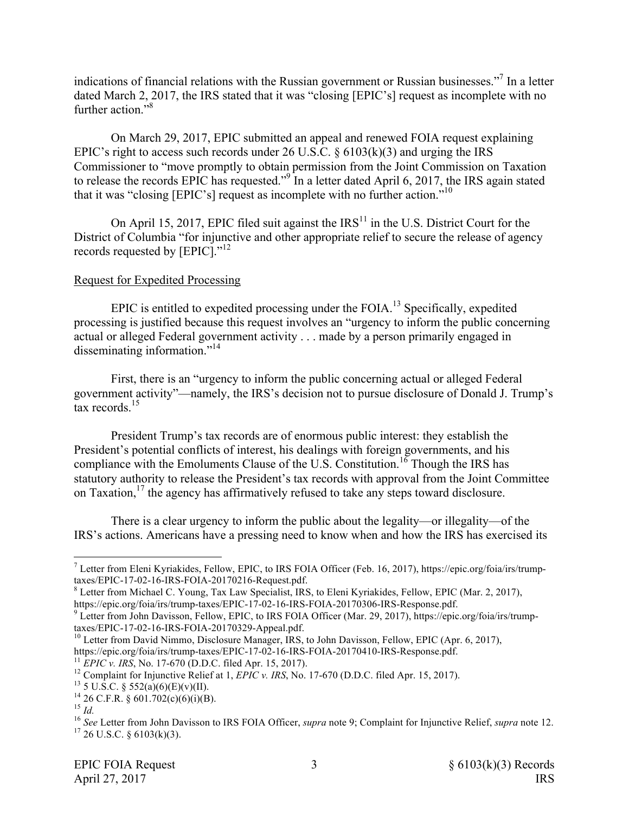indications of financial relations with the Russian government or Russian businesses."7 In a letter dated March 2, 2017, the IRS stated that it was "closing [EPIC's] request as incomplete with no further action."<sup>8</sup>

On March 29, 2017, EPIC submitted an appeal and renewed FOIA request explaining EPIC's right to access such records under 26 U.S.C.  $\S$  6103(k)(3) and urging the IRS Commissioner to "move promptly to obtain permission from the Joint Commission on Taxation to release the records EPIC has requested."<sup>9</sup> In a letter dated April 6, 2017, the IRS again stated that it was "closing [EPIC's] request as incomplete with no further action."<sup>10</sup>

On April 15, 2017, EPIC filed suit against the  $IRS<sup>11</sup>$  in the U.S. District Court for the District of Columbia "for injunctive and other appropriate relief to secure the release of agency records requested by [EPIC]."<sup>12</sup>

# Request for Expedited Processing

EPIC is entitled to expedited processing under the FOIA.<sup>13</sup> Specifically, expedited processing is justified because this request involves an "urgency to inform the public concerning actual or alleged Federal government activity . . . made by a person primarily engaged in disseminating information."<sup>14</sup>

First, there is an "urgency to inform the public concerning actual or alleged Federal government activity"—namely, the IRS's decision not to pursue disclosure of Donald J. Trump's  $\frac{15}{15}$ 

President Trump's tax records are of enormous public interest: they establish the President's potential conflicts of interest, his dealings with foreign governments, and his compliance with the Emoluments Clause of the U.S. Constitution.<sup>16</sup> Though the IRS has statutory authority to release the President's tax records with approval from the Joint Committee on Taxation, $^{17}$  the agency has affirmatively refused to take any steps toward disclosure.

There is a clear urgency to inform the public about the legality—or illegality—of the IRS's actions. Americans have a pressing need to know when and how the IRS has exercised its

 $^7$  Letter from Eleni Kyriakides, Fellow, EPIC, to IRS FOIA Officer (Feb. 16, 2017), https://epic.org/foia/irs/trump-<br>taxes/EPIC-17-02-16-IRS-FOIA-20170216-Request.pdf.

 $8$  Letter from Michael C. Young, Tax Law Specialist, IRS, to Eleni Kyriakides, Fellow, EPIC (Mar. 2, 2017),

https://epic.org/foia/irs/trump-taxes/EPIC-17-02-16-IRS-FOIA-20170306-IRS-Response.pdf.<br><sup>9</sup> Letter from John Davisson, Fellow, EPIC, to IRS FOIA Officer (Mar. 29, 2017), https://epic.org/foia/irs/trump-<br>taxes/EPIC-17-02-16

<sup>&</sup>lt;sup>10</sup> Letter from David Nimmo, Disclosure Manager, IRS, to John Davisson, Fellow, EPIC (Apr. 6, 2017), https://epic.org/foia/irs/trump-taxes/EPIC-17-02-16-IRS-FOIA-20170410-IRS-Response.pdf.

<sup>&</sup>lt;sup>11</sup> *EPIC v. IRS*, No. 17-670 (D.D.C. filed Apr. 15, 2017).<br><sup>12</sup> Complaint for Injunctive Relief at 1, *EPIC v. IRS*, No. 17-670 (D.D.C. filed Apr. 15, 2017).<br><sup>13</sup> 5 U.S.C. § 552(a)(6)(E)(v)(II).<br><sup>14</sup> 26 C.F.R. § 601.702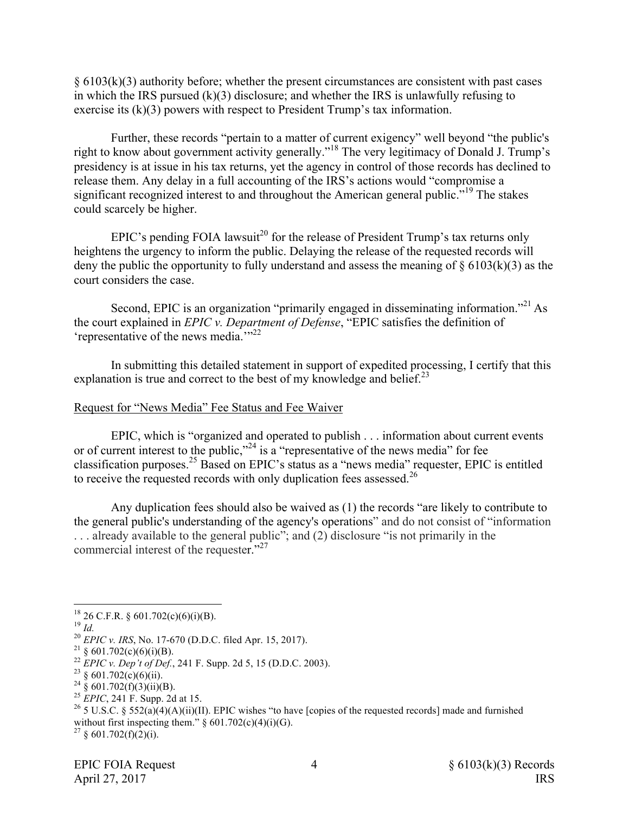$§ 6103(k)(3)$  authority before; whether the present circumstances are consistent with past cases in which the IRS pursued (k)(3) disclosure; and whether the IRS is unlawfully refusing to exercise its (k)(3) powers with respect to President Trump's tax information.

Further, these records "pertain to a matter of current exigency" well beyond "the public's right to know about government activity generally."<sup>18</sup> The very legitimacy of Donald J. Trump's presidency is at issue in his tax returns, yet the agency in control of those records has declined to release them. Any delay in a full accounting of the IRS's actions would "compromise a significant recognized interest to and throughout the American general public."<sup>19</sup> The stakes could scarcely be higher.

EPIC's pending FOIA lawsuit<sup>20</sup> for the release of President Trump's tax returns only heightens the urgency to inform the public. Delaying the release of the requested records will deny the public the opportunity to fully understand and assess the meaning of  $\S$  6103(k)(3) as the court considers the case.

Second, EPIC is an organization "primarily engaged in disseminating information."<sup>21</sup> As the court explained in *EPIC v. Department of Defense*, "EPIC satisfies the definition of 'representative of the news media. $^{1/22}$ 

In submitting this detailed statement in support of expedited processing, I certify that this explanation is true and correct to the best of my knowledge and belief.<sup>23</sup>

## Request for "News Media" Fee Status and Fee Waiver

EPIC, which is "organized and operated to publish . . . information about current events or of current interest to the public,"<sup>24</sup> is a "representative of the news media" for fee classification purposes. <sup>25</sup> Based on EPIC's status as a "news media" requester, EPIC is entitled to receive the requested records with only duplication fees assessed.<sup>26</sup>

Any duplication fees should also be waived as (1) the records "are likely to contribute to the general public's understanding of the agency's operations" and do not consist of "information . . . already available to the general public"; and (2) disclosure "is not primarily in the commercial interest of the requester."<sup>27</sup>

- 
- 

<sup>&</sup>lt;sup>18</sup> 26 C.F.R. § 601.702(c)(6)(i)(B).<br><sup>19</sup> *Id.*<br><sup>20</sup> *EPIC v. IRS*, No. 17-670 (D.D.C. filed Apr. 15, 2017).<br><sup>21</sup> § 601.702(c)(6)(i)(B).<br><sup>22</sup> *EPIC v. Dep't of Def.*, 241 F. Supp. 2d 5, 15 (D.D.C. 2003).<br><sup>23</sup> § 601.702(c without first inspecting them."  $\frac{6}{9}$  601.702(c)(4)(i)(G).<br><sup>27</sup> § 601.702(f)(2)(i).